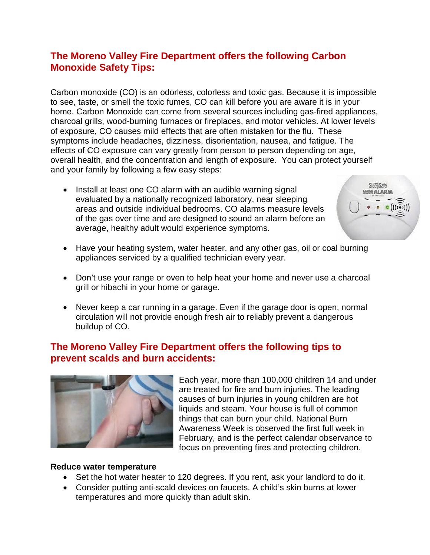# **The Moreno Valley Fire Department offers the following Carbon Monoxide Safety Tips:**

Carbon monoxide (CO) is an odorless, colorless and toxic gas. Because it is impossible to see, taste, or smell the toxic fumes, CO can kill before you are aware it is in your home. Carbon Monoxide can come from several sources including gas-fired appliances, charcoal grills, wood-burning furnaces or fireplaces, and motor vehicles. At lower levels of exposure, CO causes mild effects that are often mistaken for the flu. These symptoms include headaches, dizziness, disorientation, nausea, and fatigue. The effects of CO exposure can vary greatly from person to person depending on age, overall health, and the concentration and length of exposure. You can protect yourself and your family by following a few easy steps:

• Install at least one CO alarm with an audible warning signal evaluated by a nationally recognized laboratory, near sleeping areas and outside individual bedrooms. CO alarms measure levels of the gas over time and are designed to sound an alarm before an average, healthy adult would experience symptoms.



- Have your heating system, water heater, and any other gas, oil or coal burning appliances serviced by a qualified technician every year.
- Don't use your range or oven to help heat your home and never use a charcoal grill or hibachi in your home or garage.
- Never keep a car running in a garage. Even if the garage door is open, normal circulation will not provide enough fresh air to reliably prevent a dangerous buildup of CO.

## **The Moreno Valley Fire Department offers the following tips to prevent scalds and burn accidents:**



Each year, more than 100,000 children 14 and under are treated for fire and burn injuries. The leading causes of burn injuries in young children are hot liquids and steam. Your house is full of common things that can burn your child. National Burn Awareness Week is observed the first full week in February, and is the perfect calendar observance to focus on preventing fires and protecting children.

#### **Reduce water temperature**

- Set the hot water heater to 120 degrees. If you rent, ask your landlord to do it.
- Consider putting anti-scald devices on faucets. A child's skin burns at lower temperatures and more quickly than adult skin.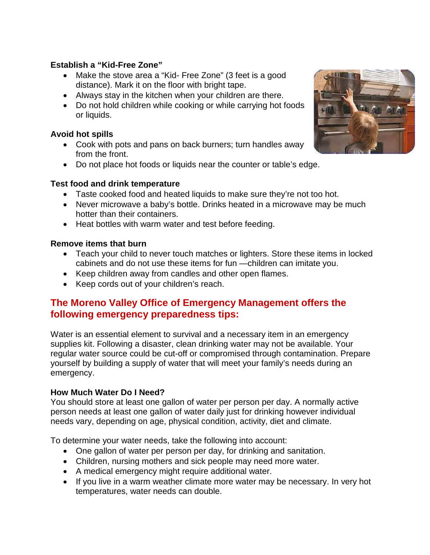## **Establish a "Kid-Free Zone"**

- Make the stove area a "Kid- Free Zone" (3 feet is a good distance). Mark it on the floor with bright tape.
- Always stay in the kitchen when your children are there.
- Do not hold children while cooking or while carrying hot foods or liquids.

### **Avoid hot spills**

- Cook with pots and pans on back burners; turn handles away from the front.
- Do not place hot foods or liquids near the counter or table's edge.

### **Test food and drink temperature**

- Taste cooked food and heated liquids to make sure they're not too hot.
- Never microwave a baby's bottle. Drinks heated in a microwave may be much hotter than their containers.
- Heat bottles with warm water and test before feeding.

#### **Remove items that burn**

- Teach your child to never touch matches or lighters. Store these items in locked cabinets and do not use these items for fun —children can imitate you.
- Keep children away from candles and other open flames.
- Keep cords out of your children's reach.

## **The Moreno Valley Office of Emergency Management offers the following emergency preparedness tips:**

Water is an essential element to survival and a necessary item in an emergency supplies kit. Following a disaster, clean drinking water may not be available. Your regular water source could be cut-off or compromised through contamination. Prepare yourself by building a supply of water that will meet your family's needs during an emergency.

#### **How Much Water Do I Need?**

You should store at least one gallon of water per person per day. A normally active person needs at least one gallon of water daily just for drinking however individual needs vary, depending on age, physical condition, activity, diet and climate.

To determine your water needs, take the following into account:

- One gallon of water per person per day, for drinking and sanitation.
- Children, nursing mothers and sick people may need more water.
- A medical emergency might require additional water.
- If you live in a warm weather climate more water may be necessary. In very hot temperatures, water needs can double.